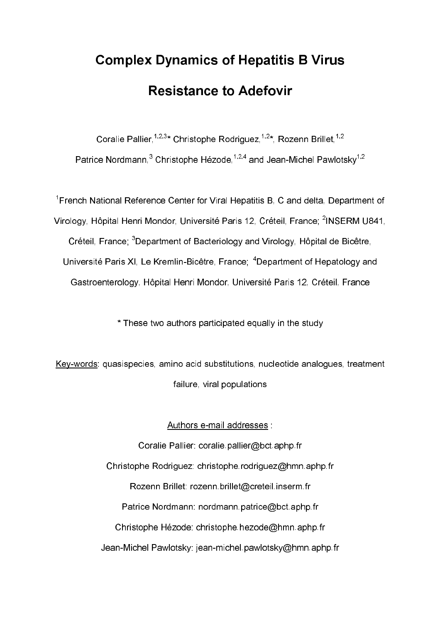# **Complex Dynamics of Hepatitis B Virus Resistance to Adefovir**

Coralie Pallier,<sup>1,2,3</sup>\* Christophe Rodriguez,<sup>1,2\*</sup>, Rozenn Brillet,<sup>1,2</sup> Patrice Nordmann, $^3$  Christophe Hézode, $^{1,2,4}$  and Jean-Michel Pawlotsky $^{1,2}$ 

French National Reference Center for Viral Hepatitis B, C and delta, Department of Virology, Hôpital Henri Mondor, Université Paris 12, Créteil, France; <sup>2</sup>INSERM U841, Créteil, France: <sup>3</sup>Department of Bacteriology and Virology, Hôpital de Bicêtre, Université Paris XI, Le Kremlin-Bicêtre, France; <sup>4</sup>Department of Hepatology and Gastroenterology, Hôpital Henri Mondor, Université Paris 12, Créteil, France

\* These two authors participated equally in the study

Keywords: quasispecies, amino acid substitutions, nucleotide analogues, treatment failure, viral populations

Authors e-mail addresses :

Coralie Pallier: coralie.pallier@bct.aphp.fr Christophe Rodriguez: christophe.rodriguez@hmn.aphp.fr Rozenn Brillet: rozenn.brillet@creteil.inserm.fr Patrice Nordmann: nordmann.patrice@bct.aphp.fr Christophe Hézode: christophe.hezode@hmn.aphp.fr Jean-Michel Pawlotsky: jean-michel.pawlotsky@hmn.aphp.fr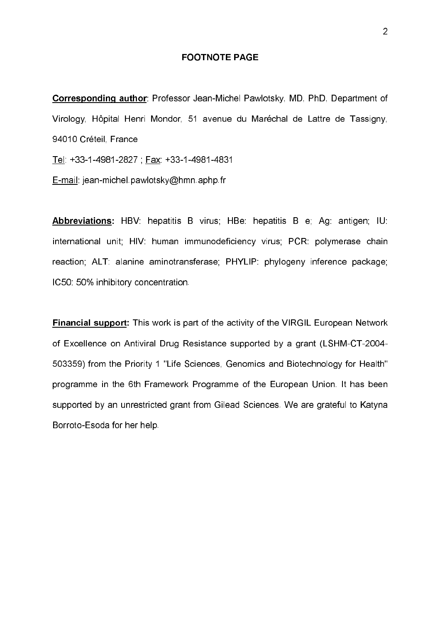# **FOOTNOTE PAGE**

Corresponding author: Professor Jean-Michel Pawlotsky, MD, PhD, Department of Virology, Hôpital Henri Mondor, 51 avenue du Maréchal de Lattre de Tassigny, 94010 Créteil, France

Tel: +33-1-4981-2827 ; Fax: +33-1-4981-4831

E-mail: jean-michel.pawlotsky@hmn.aphp.fr

Abbreviations: HBV: hepatitis B virus; HBe: hepatitis B e; Ag: antigen; IU: international unit; HIV: human immunodeficiency virus; PCR: polymerase chain reaction; ALT: alanine aminotransferase; PHYLIP: phylogeny inference package; IC50: 50% inhibitory concentration.

**Financial support:** This work is part of the activity of the VIRGIL European Network of Excellence on Antiviral Drug Resistance supported by a grant (LSHM-CT-2004-503359) from the Priority 1 "Life Sciences, Genomics and Biotechnology for Health" programme in the 6th Framework Programme of the European Union. It has been supported by an unrestricted grant from Gilead Sciences. We are grateful to Katyna Borroto-Esoda for her help.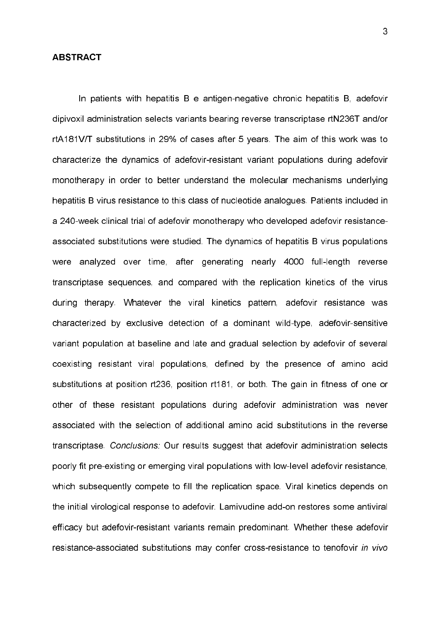## ABSTRACT

In patients with hepatitis B e antigen-negative chronic hepatitis B, adefovir dipivoxil administration selects variants bearing reverse transcriptase rtN236T and/or rtA181V/T substitutions in 29% of cases after 5 years. The aim of this work was to characterize the dynamics of adefovir-resistant variant populations during adefovir monotherapy in order to better understand the molecular mechanisms underlying hepatitis B virus resistance to this class of nucleotide analogues. Patients included in a 240-week clinical trial of adefovir monotherapy who developed adefovir resistanceassociated substitutions were studied. The dynamics of hepatitis B virus populations were analyzed over time, after generating nearly 4000 full-length reverse transcriptase sequences, and compared with the replication kinetics of the virus during therapy. Whatever the viral kinetics pattern, adefovir resistance was characterized by exclusive detection of a dominant wild-type, adefovir-sensitive variant population at baseline and late and gradual selection by adefovir of several coexisting resistant viral populations, defined by the presence of amino acid substitutions at position rt236, position rt181, or both. The gain in fitness of one or other of these resistant populations during adefovir administration was never associated with the selection of additional amino acid substitutions in the reverse transcriptase. Conclusions: Our results suggest that adefovir administration selects poorly fit pre-existing or emerging viral populations with low-level adefovir resistance, which subsequently compete to fill the replication space. Viral kinetics depends on the initial virological response to adefovir. Lamivudine add-on restores some antiviral efficacy but adefovirresistant variants remain predominant. Whether these adefovir resistance-associated substitutions may confer cross-resistance to tenofovir in vivo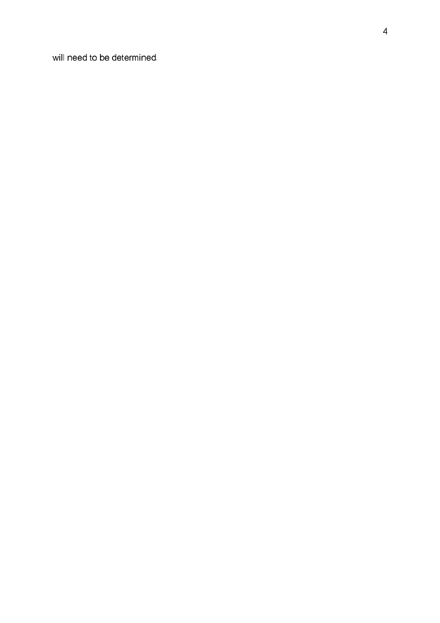will need to be determined.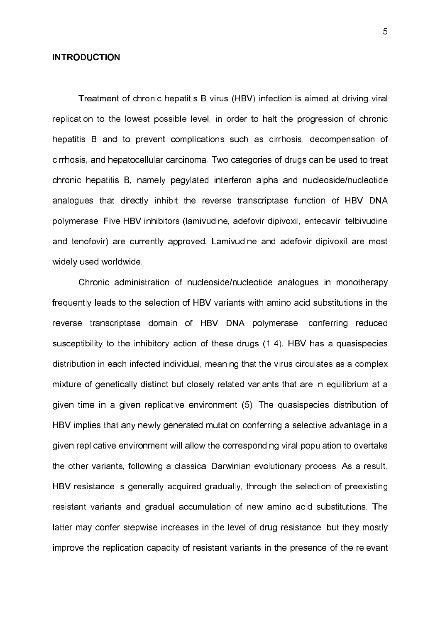#### **INTRODUCTION**

Treatment of chronic hepatitis B virus (HBV) infection is aimed at driving viral replication to the lowest possible level, in order to halt the progression of chronic hepatitis B and to prevent complications such as cirrhosis, decompensation of cirrhosis, and hepatocellular carcinoma. Two categories of drugs can be used to treat chronic hepatitis B, namely pegylated interferon alpha and nucleoside/nucleotide analogues that directly inhibit the reverse transcriptase function of HBV DNA polymerase. Five HBV inhibitors (lamivudine, adefovir dipivoxil, entecavir, telbivudine and tenofovir) are currently approved. Lamivudine and adefovir dipivoxil are most widely used worldwide.

Chronic administration of nucleoside/nucleotide analogues in monotherapy frequently leads to the selection of HBV variants with amino acid substitutions in the reverse transcriptase domain of HBV DNA polymerase, conferring reduced susceptibility to the inhibitory action of these drugs (1-4). HBV has a quasispecies distribution in each infected individual, meaning that the virus circulates as a complex mixture of genetically distinct but closely related variants that are in equilibrium at a given time in a given replicative environment (5). The quasispecies distribution of HBV implies that any newly generated mutation conferring a selective advantage in a given replicative environment will allow the corresponding viral population to overtake the other variants, following a classical Darwinian evolutionary process. As a result, HBV resistance is generally acquired gradually, through the selection of preexisting resistant variants and gradual accumulation of new amino acid substitutions. The latter may confer stepwise increases in the level of drug resistance, but they mostly improve the replication capacity of resistant variants in the presence of the relevant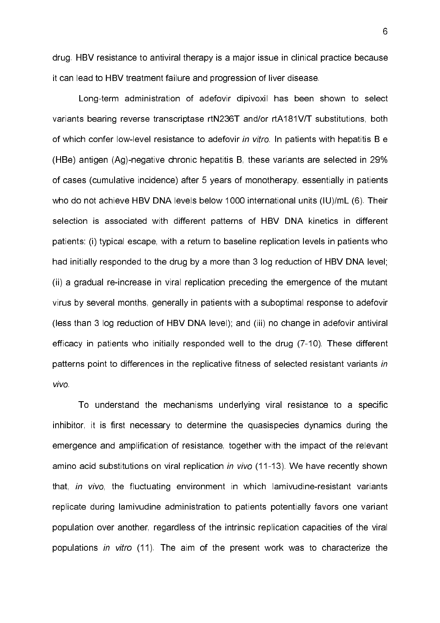drug. HBV resistance to antiviral therapy is a major issue in clinical practice because it can lead to HBV treatment failure and progression of liver disease.

Long-term administration of adefovir dipivoxil has been shown to select variants bearing reverse transcriptase rtN236T and/or rtA181V/T substitutions, both of which confer low-level resistance to adefovir in vitro. In patients with hepatitis B e (HBe) antigen  $(Aq)$ -negative chronic hepatitis B, these variants are selected in 29% of cases (cumulative incidence) after 5 years of monotherapy, essentially in patients who do not achieve HBV DNA levels below 1000 international units (IU)/mL (6). Their selection is associated with different patterns of HBV DNA kinetics in different patients: (i) typical escape, with a return to baseline replication levels in patients who had initially responded to the drug by a more than 3 log reduction of HBV DNA level; (ii) a gradual re-increase in viral replication preceding the emergence of the mutant virus by several months, generally in patients with a suboptimal response to adefovir (less than 3 log reduction of HBV DNA level); and (iii) no change in adefovir antiviral efficacy in patients who initially responded well to the drug (710). These different patterns point to differences in the replicative fitness of selected resistant variants in vivo.

To understand the mechanisms underlying viral resistance to a specific inhibitor, it is first necessary to determine the quasispecies dynamics during the emergence and amplification of resistance, together with the impact of the relevant amino acid substitutions on viral replication in vivo (11-13). We have recently shown that, in vivo, the fluctuating environment in which lamivudine-resistant variants replicate during lamivudine administration to patients potentially favors one variant population over another, regardless of the intrinsic replication capacities of the viral populations in vitro (11). The aim of the present work was to characterize the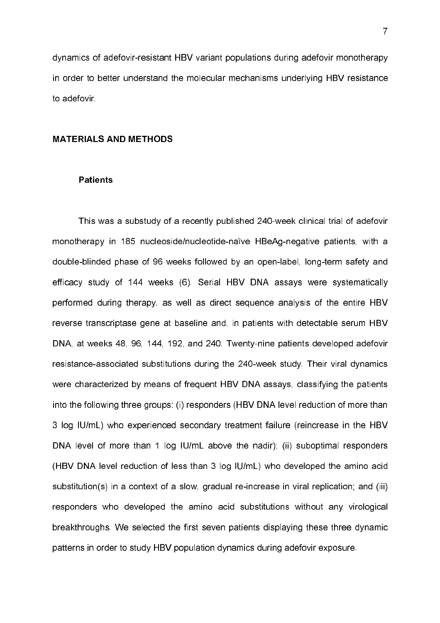dynamics of adefovir-resistant HBV variant populations during adefovir monotherapy in order to better understand the molecular mechanisms underlying HBV resistance to adefovir.

## **MATERIALS AND METHODS**

# **Patients**

This was a substudy of a recently published 240-week clinical trial of adefovir monotherapy in 185 nucleoside/nucleotide-naïve HBeAg-negative patients, with a double-blinded phase of 96 weeks followed by an open-label, long-term safety and efficacy study of 144 weeks (6). Serial HBV DNA assays were systematically performed during therapy, as well as direct sequence analysis of the entire HBV reverse transcriptase gene at baseline and, in patients with detectable serum HBV DNA, at weeks 48, 96, 144, 192, and 240. Twenty-nine patients developed adefovir resistance-associated substitutions during the 240-week study. Their viral dynamics were characterized by means of frequent HBV DNA assays, classifying the patients into the following three groups: (i) responders (HBV DNA level reduction of more than 3 log IU/mL) who experienced secondary treatment failure (reincrease in the HBV DNA level of more than 1 log IU/mL above the nadir); (ii) suboptimal responders (HBV DNA level reduction of less than 3 log IU/mL) who developed the amino acid substitution(s) in a context of a slow, gradual re-increase in viral replication; and (iii) responders who developed the amino acid substitutions without any virological breakthroughs. We selected the first seven patients displaying these three dynamic patterns in order to study HBV population dynamics during adefovir exposure.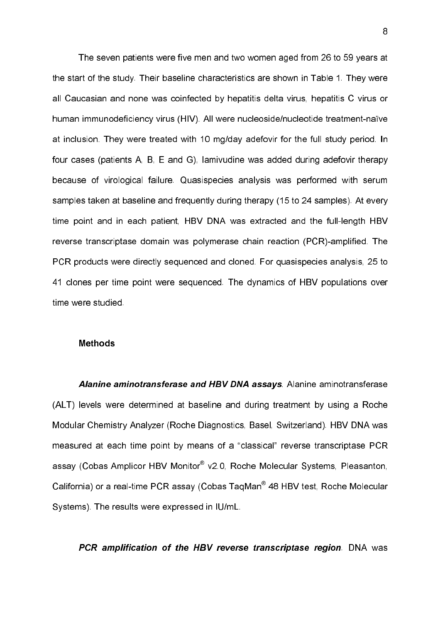The seven patients were five men and two women aged from 26 to 59 years at the start of the study. Their baseline characteristics are shown in Table 1. They were all Caucasian and none was coinfected by hepatitis delta virus, hepatitis C virus or human immunodeficiency virus (HIV). All were nucleoside/nucleotide treatment-naïve at inclusion. They were treated with 10 mg/day adefovir for the full study period. In four cases (patients A, B, E and G), lamivudine was added during adefovir therapy because of virological failure. Quasispecies analysis was performed with serum samples taken at baseline and frequently during therapy (15 to 24 samples). At every time point and in each patient, HBV DNA was extracted and the full-length HBV reverse transcriptase domain was polymerase chain reaction (PCR)-amplified. The PCR products were directly sequenced and cloned. For quasispecies analysis, 25 to 41 clones per time point were sequenced. The dynamics of HBV populations over time were studied.

## Methods

Alanine aminotransferase and HBV DNA assays. Alanine aminotransferase (ALT) levels were determined at baseline and during treatment by using a Roche Modular Chemistry Analyzer (Roche Diagnostics, Basel, Switzerland). HBV DNA was measured at each time point by means of a "classical" reverse transcriptase PCR assay (Cobas Amplicor HBV Monitor® v2.0, Roche Molecular Systems, Pleasanton, California) or a real-time PCR assay (Cobas TaqMan® 48 HBV test, Roche Molecular Systems). The results were expressed in IU/mL.

PCR amplification of the HBV reverse transcriptase region. DNA was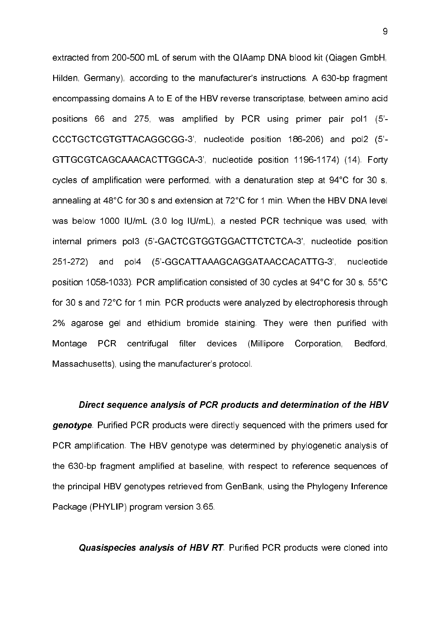extracted from 200-500 mL of serum with the QIAamp DNA blood kit (Qiagen GmbH, Hilden, Germany), according to the manufacturer's instructions. A 630-bp fragment encompassing domains A to E of the HBV reverse transcriptase, between amino acid positions 66 and 275, was amplified by PCR using primer pair pol1 (5' CCCTGCTCGTGTTACAGGCGG3', nucleotide position 186206) and pol2 (5' GTTGCGTCAGCAAACACTTGGCA-3', nucleotide position 1196-1174) (14). Forty cycles of amplification were performed, with a denaturation step at 94°C for 30 s, annealing at 48°C for 30 s and extension at 72°C for 1 min. When the HBV DNA level was below 1000 IU/mL (3.0 log IU/mL), a nested PCR technique was used, with internal primers pol3 (5'GACTCGTGGTGGACTTCTCTCA3', nucleotide position 251272) and pol4 (5'GGCATTAAAGCAGGATAACCACATTG3', nucleotide position 1058-1033). PCR amplification consisted of 30 cycles at 94°C for 30 s, 55°C for 30 s and 72°C for 1 min. PCR products were analyzed by electrophoresis through 2% agarose gel and ethidium bromide staining. They were then purified with Montage PCR centrifugal filter devices (Millipore Corporation, Bedford, Massachusetts), using the manufacturer's protocol.

Direct sequence analysis of PCR products and determination of the HBV genotype. Purified PCR products were directly sequenced with the primers used for PCR amplification. The HBV genotype was determined by phylogenetic analysis of the 630-bp fragment amplified at baseline, with respect to reference sequences of the principal HBV genotypes retrieved from GenBank, using the Phylogeny Inference Package (PHYLIP) program version 3.65.

Quasispecies analysis of HBV RT. Purified PCR products were cloned into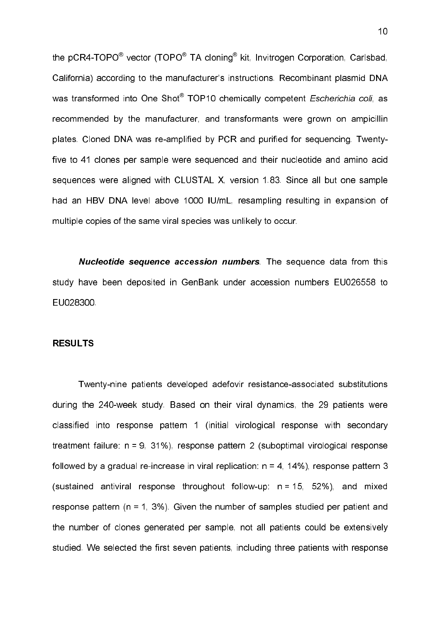the pCR4-TOPO $^\circledast$  vector (TOPO $^\circledast$  TA cloning $^\circledast$  kit, Invitrogen Corporation, Carlsbad, California) according to the manufacturer's instructions. Recombinant plasmid DNA was transformed into One Shot<sup>®</sup> TOP10 chemically competent *Escherichia coli*, as recommended by the manufacturer, and transformants were grown on ampicillin plates. Cloned DNA was re-amplified by PCR and purified for sequencing. Twentyfive to 41 clones per sample were sequenced and their nucleotide and amino acid sequences were aligned with CLUSTAL X, version 1.83. Since all but one sample had an HBV DNA level above 1000 IU/mL, resampling resulting in expansion of multiple copies of the same viral species was unlikely to occur.

**Nucleotide sequence accession numbers**. The sequence data from this study have been deposited in GenBank under accession numbers EU026558 to EU028300.

#### RESULTS

Twenty-nine patients developed adefovir resistance-associated substitutions during the 240-week study. Based on their viral dynamics, the 29 patients were classified into response pattern 1 (initial virological response with secondary treatment failure: n = 9, 31%), response pattern 2 (suboptimal virological response followed by a gradual re-increase in viral replication:  $n = 4, 14\%$ ), response pattern 3 (sustained antiviral response throughout follow-up:  $n = 15$ , 52%), and mixed response pattern (n = 1, 3%). Given the number of samples studied per patient and the number of clones generated per sample, not all patients could be extensively studied. We selected the first seven patients, including three patients with response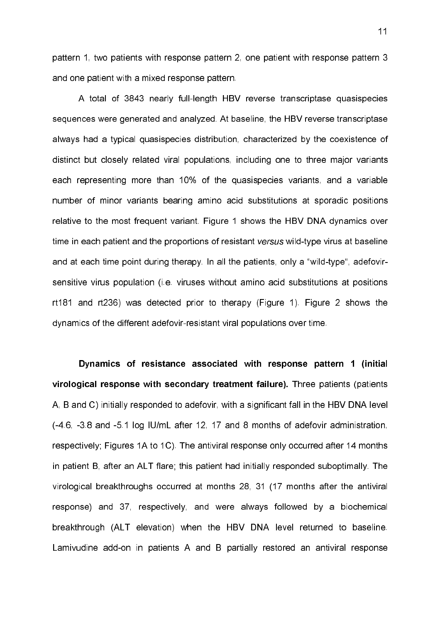pattern 1, two patients with response pattern 2, one patient with response pattern 3 and one patient with a mixed response pattern.

A total of 3843 nearly full-length HBV reverse transcriptase quasispecies sequences were generated and analyzed. At baseline, the HBV reverse transcriptase always had a typical quasispecies distribution, characterized by the coexistence of distinct but closely related viral populations, including one to three major variants each representing more than 10% of the quasispecies variants, and a variable number of minor variants bearing amino acid substitutions at sporadic positions relative to the most frequent variant. Figure 1 shows the HBV DNA dynamics over time in each patient and the proportions of resistant versus wild-type virus at baseline and at each time point during therapy. In all the patients, only a "wild-type", adefovirsensitive virus population (i.e. viruses without amino acid substitutions at positions rt181 and rt236) was detected prior to therapy (Figure 1). Figure 2 shows the dynamics of the different adefovir-resistant viral populations over time.

Dynamics of resistance associated with response pattern 1 (initial virological response with secondary treatment failure). Three patients (patients A, B and C) initially responded to adefovir, with a significant fall in the HBV DNA level (4.6, 3.8 and 5.1 log IU/mL after 12, 17 and 8 months of adefovir administration, respectively; Figures 1A to 1C). The antiviral response only occurred after 14 months in patient B, after an ALT flare; this patient had initially responded suboptimally. The virological breakthroughs occurred at months 28, 31 (17 months after the antiviral response) and 37, respectively, and were always followed by a biochemical breakthrough (ALT elevation) when the HBV DNA level returned to baseline. Lamivudine add-on in patients A and B partially restored an antiviral response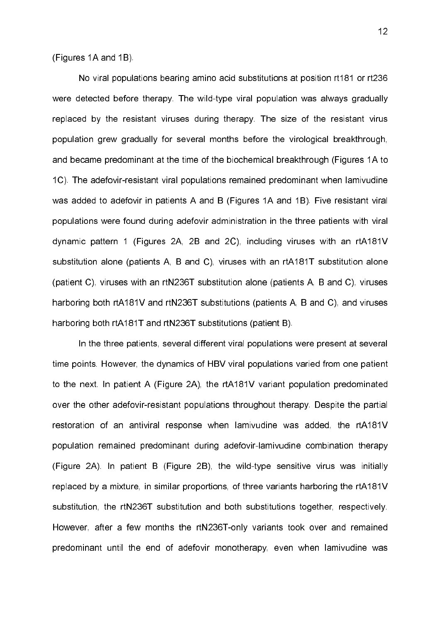# (Figures 1A and 1B).

No viral populations bearing amino acid substitutions at position rt181 or rt236 were detected before therapy. The wild-type viral population was always gradually replaced by the resistant viruses during therapy. The size of the resistant virus population grew gradually for several months before the virological breakthrough, and became predominant at the time of the biochemical breakthrough (Figures 1A to 1C). The adefovir-resistant viral populations remained predominant when lamivudine was added to adefovir in patients A and B (Figures 1A and 1B). Five resistant viral populations were found during adefovir administration in the three patients with viral dynamic pattern 1 (Figures 2A, 2B and 2C), including viruses with an rtA181V substitution alone (patients A, B and C), viruses with an rtA181T substitution alone (patient C), viruses with an rtN236T substitution alone (patients A, B and C), viruses harboring both rtA181V and rtN236T substitutions (patients A, B and C), and viruses harboring both rtA181T and rtN236T substitutions (patient B).

In the three patients, several different viral populations were present at several time points. However, the dynamics of HBV viral populations varied from one patient to the next. In patient A (Figure 2A), the rtA181V variant population predominated over the other adefovir-resistant populations throughout therapy. Despite the partial restoration of an antiviral response when lamivudine was added, the rtA181V population remained predominant during adefovir-lamivudine combination therapy (Figure 2A). In patient B (Figure 2B), the wild-type sensitive virus was initially replaced by a mixture, in similar proportions, of three variants harboring the rtA181V substitution, the rtN236T substitution and both substitutions together, respectively. However, after a few months the rtN236T-only variants took over and remained predominant until the end of adefovir monotherapy, even when lamivudine was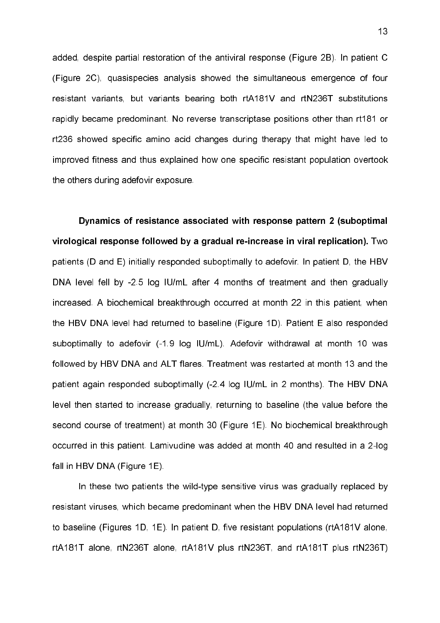added, despite partial restoration of the antiviral response (Figure 2B). In patient C (Figure 2C), quasispecies analysis showed the simultaneous emergence of four resistant variants, but variants bearing both rtA181V and rtN236T substitutions rapidly became predominant. No reverse transcriptase positions other than rt181 or rt236 showed specific amino acid changes during therapy that might have led to improved fitness and thus explained how one specific resistant population overtook the others during adefovir exposure.

Dynamics of resistance associated with response pattern 2 (suboptimal virological response followed by a gradual re-increase in viral replication). Two patients (D and E) initially responded suboptimally to adefovir. In patient D, the HBV DNA level fell by -2.5 log IU/mL after 4 months of treatment and then gradually increased. A biochemical breakthrough occurred at month 22 in this patient, when the HBV DNA level had returned to baseline (Figure 1D). Patient E also responded suboptimally to adefovir (-1.9 log IU/mL). Adefovir withdrawal at month 10 was followed by HBV DNA and ALT flares. Treatment was restarted at month 13 and the patient again responded suboptimally (2.4 log IU/mL in 2 months). The HBV DNA level then started to increase gradually, returning to baseline (the value before the second course of treatment) at month 30 (Figure 1E). No biochemical breakthrough occurred in this patient. Lamivudine was added at month 40 and resulted in a 2-log fall in HBV DNA (Figure 1E).

In these two patients the wild-type sensitive virus was gradually replaced by resistant viruses, which became predominant when the HBV DNA level had returned to baseline (Figures 1D, 1E). In patient D, five resistant populations (rtA181V alone, rtA181T alone, rtN236T alone, rtA181V plus rtN236T, and rtA181T plus rtN236T)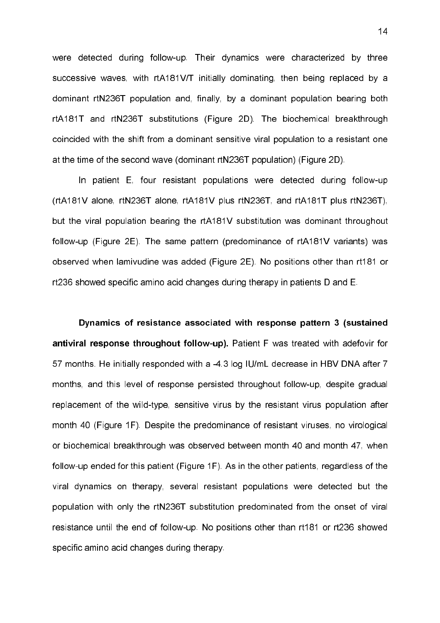were detected during follow-up. Their dynamics were characterized by three successive waves, with rtA181V/T initially dominating, then being replaced by a dominant rtN236T population and, finally, by a dominant population bearing both rtA181T and rtN236T substitutions (Figure 2D). The biochemical breakthrough coincided with the shift from a dominant sensitive viral population to a resistant one at the time of the second wave (dominant rtN236T population) (Figure 2D).

In patient E, four resistant populations were detected during follow-up (rtA181V alone, rtN236T alone, rtA181V plus rtN236T, and rtA181T plus rtN236T), but the viral population bearing the rtA181V substitution was dominant throughout follow-up (Figure 2E). The same pattern (predominance of rtA181V variants) was observed when lamivudine was added (Figure 2E). No positions other than rt181 or rt236 showed specific amino acid changes during therapy in patients D and E.

Dynamics of resistance associated with response pattern 3 (sustained antiviral response throughout follow-up). Patient F was treated with adefovir for 57 months. He initially responded with a -4.3 log IU/mL decrease in HBV DNA after 7 months, and this level of response persisted throughout follow-up, despite gradual replacement of the wild-type, sensitive virus by the resistant virus population after month 40 (Figure 1F). Despite the predominance of resistant viruses, no virological or biochemical breakthrough was observed between month 40 and month 47, when follow-up ended for this patient (Figure 1F). As in the other patients, regardless of the viral dynamics on therapy, several resistant populations were detected but the population with only the rtN236T substitution predominated from the onset of viral resistance until the end of follow-up. No positions other than rt181 or rt236 showed specific amino acid changes during therapy.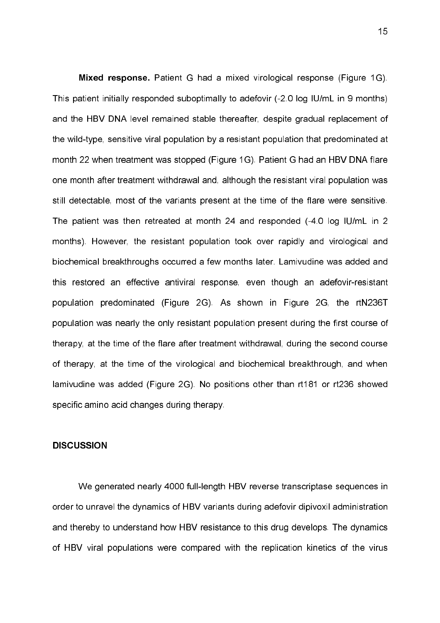Mixed response. Patient G had a mixed virological response (Figure 1G). This patient initially responded suboptimally to adefovir (2.0 log IU/mL in 9 months) and the HBV DNA level remained stable thereafter, despite gradual replacement of the wild-type, sensitive viral population by a resistant population that predominated at month 22 when treatment was stopped (Figure 1G). Patient G had an HBV DNA flare one month after treatment withdrawal and, although the resistant viral population was still detectable, most of the variants present at the time of the flare were sensitive. The patient was then retreated at month 24 and responded (4.0 log IU/mL in 2 months). However, the resistant population took over rapidly and virological and biochemical breakthroughs occurred a few months later. Lamivudine was added and this restored an effective antiviral response, even though an adefovir-resistant population predominated (Figure 2G). As shown in Figure 2G, the rtN236T population was nearly the only resistant population present during the first course of therapy, at the time of the flare after treatment withdrawal, during the second course of therapy, at the time of the virological and biochemical breakthrough, and when lamivudine was added (Figure 2G). No positions other than rt181 or rt236 showed specific amino acid changes during therapy.

## **DISCUSSION**

We generated nearly 4000 full-length HBV reverse transcriptase sequences in order to unravel the dynamics of HBV variants during adefovir dipivoxil administration and thereby to understand how HBV resistance to this drug develops. The dynamics of HBV viral populations were compared with the replication kinetics of the virus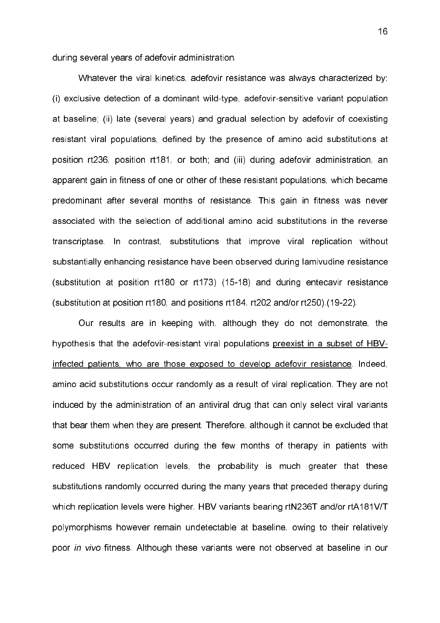during several years of adefovir administration.

Whatever the viral kinetics, adefovir resistance was always characterized by: (i) exclusive detection of a dominant wild-type, adefovir-sensitive variant population at baseline; (ii) late (several years) and gradual selection by adefovir of coexisting resistant viral populations, defined by the presence of amino acid substitutions at position rt236, position rt181, or both; and (iii) during adefovir administration, an apparent gain in fitness of one or other of these resistant populations, which became predominant after several months of resistance. This gain in fitness was never associated with the selection of additional amino acid substitutions in the reverse transcriptase. In contrast, substitutions that improve viral replication without substantially enhancing resistance have been observed during lamivudine resistance (substitution at position rt180 or rt173) (1518) and during entecavir resistance (substitution at position rt180, and positions rt184, rt202 and/or rt250).(1922).

Our results are in keeping with, although they do not demonstrate, the hypothesis that the adefovir-resistant viral populations preexist in a subset of HBVinfected patients, who are those exposed to develop adefovir resistance. Indeed, amino acid substitutions occur randomly as a result of viral replication. They are not induced by the administration of an antiviral drug that can only select viral variants that bear them when they are present. Therefore, although it cannot be excluded that some substitutions occurred during the few months of therapy in patients with reduced HBV replication levels, the probability is much greater that these substitutions randomly occurred during the many years that preceded therapy during which replication levels were higher. HBV variants bearing rtN236T and/or rtA181V/T polymorphisms however remain undetectable at baseline, owing to their relatively poor in vivo fitness. Although these variants were not observed at baseline in our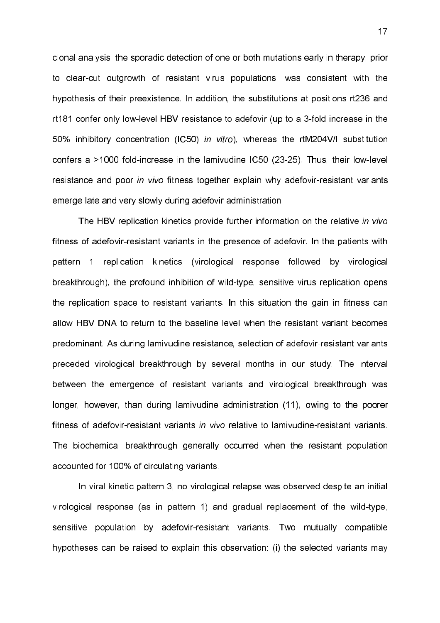clonal analysis, the sporadic detection of one or both mutations early in therapy, prior to clear-cut outgrowth of resistant virus populations, was consistent with the hypothesis of their preexistence. In addition, the substitutions at positions rt236 and rt181 confer only low-level HBV resistance to adefovir (up to a 3-fold increase in the 50% inhibitory concentration (IC50) in vitro), whereas the rtM204V/I substitution confers a  $>1000$  fold-increase in the lamivudine IC50 (23-25). Thus, their low-level resistance and poor in vivo fitness together explain why adefovir-resistant variants emerge late and very slowly during adefovir administration.

The HBV replication kinetics provide further information on the relative in vivo fitness of adefovir-resistant variants in the presence of adefovir. In the patients with pattern 1 replication kinetics (virological response followed by virological breakthrough), the profound inhibition of wild-type, sensitive virus replication opens the replication space to resistant variants. In this situation the gain in fitness can allow HBV DNA to return to the baseline level when the resistant variant becomes predominant. As during lamivudine resistance, selection of adefovir-resistant variants preceded virological breakthrough by several months in our study. The interval between the emergence of resistant variants and virological breakthrough was longer, however, than during lamivudine administration (11), owing to the poorer fitness of adefovir-resistant variants in vivo relative to lamivudine-resistant variants. The biochemical breakthrough generally occurred when the resistant population accounted for 100% of circulating variants.

In viral kinetic pattern 3, no virological relapse was observed despite an initial virological response (as in pattern 1) and gradual replacement of the wild-type, sensitive population by adefovir-resistant variants. Two mutually compatible hypotheses can be raised to explain this observation: (i) the selected variants may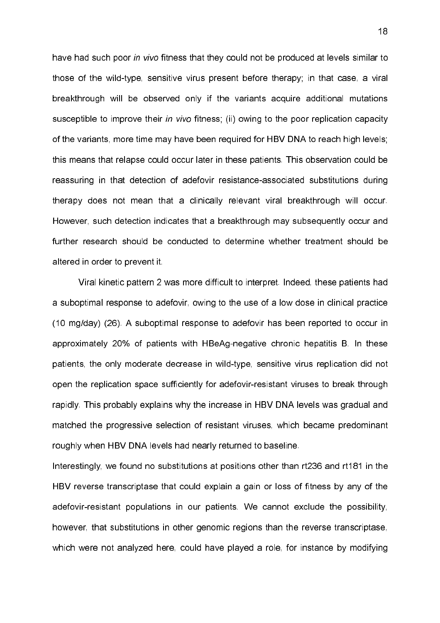have had such poor in vivo fitness that they could not be produced at levels similar to those of the wild-type, sensitive virus present before therapy; in that case, a viral breakthrough will be observed only if the variants acquire additional mutations susceptible to improve their in vivo fitness; (ii) owing to the poor replication capacity of the variants, more time may have been required for HBV DNA to reach high levels; this means that relapse could occur later in these patients. This observation could be reassuring in that detection of adefovir resistance-associated substitutions during therapy does not mean that a clinically relevant viral breakthrough will occur. However, such detection indicates that a breakthrough may subsequently occur and further research should be conducted to determine whether treatment should be altered in order to prevent it.

Viral kinetic pattern 2 was more difficult to interpret. Indeed, these patients had a suboptimal response to adefovir, owing to the use of a low dose in clinical practice (10 mg/day) (26). A suboptimal response to adefovir has been reported to occur in approximately 20% of patients with HBeAg-negative chronic hepatitis B. In these patients, the only moderate decrease in wild-type, sensitive virus replication did not open the replication space sufficiently for adefovir-resistant viruses to break through rapidly. This probably explains why the increase in HBV DNA levels was gradual and matched the progressive selection of resistant viruses, which became predominant roughly when HBV DNA levels had nearly returned to baseline.

Interestingly, we found no substitutions at positions other than rt236 and rt181 in the HBV reverse transcriptase that could explain a gain or loss of fitness by any of the adefovir-resistant populations in our patients. We cannot exclude the possibility, however, that substitutions in other genomic regions than the reverse transcriptase, which were not analyzed here, could have played a role, for instance by modifying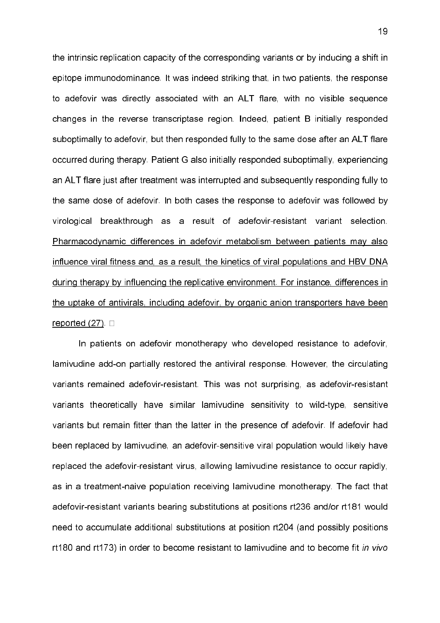the intrinsic replication capacity of the corresponding variants or by inducing a shift in epitope immunodominance. It was indeed striking that, in two patients, the response to adefovir was directly associated with an ALT flare, with no visible sequence changes in the reverse transcriptase region. Indeed, patient B initially responded suboptimally to adefovir, but then responded fully to the same dose after an ALT flare occurred during therapy. Patient G also initially responded suboptimally, experiencing an ALT flare just after treatment was interrupted and subsequently responding fully to the same dose of adefovir. In both cases the response to adefovir was followed by virological breakthrough as a result of adefovir-resistant variant selection. Pharmacodynamic differences in adefovir metabolism between patients may also influence viral fitness and, as a result, the kinetics of viral populations and HBV DNA during therapy by influencing the replicative environment. For instance, differences in the uptake of antivirals, including adefovir, by organic anion transporters have been reported  $(27)$ .  $\Box$ 

In patients on adefovir monotherapy who developed resistance to adefovir, lamivudine add-on partially restored the antiviral response. However, the circulating variants remained adefovir-resistant. This was not surprising, as adefovir-resistant variants theoretically have similar lamivudine sensitivity to wild-type, sensitive variants but remain fitter than the latter in the presence of adefovir. If adefovir had been replaced by lamivudine, an adefovir-sensitive viral population would likely have replaced the adefovir-resistant virus, allowing lamivudine resistance to occur rapidly, as in a treatment-naive population receiving lamivudine monotherapy. The fact that adefovir-resistant variants bearing substitutions at positions rt236 and/or rt181 would need to accumulate additional substitutions at position rt204 (and possibly positions rt180 and rt173) in order to become resistant to lamivudine and to become fit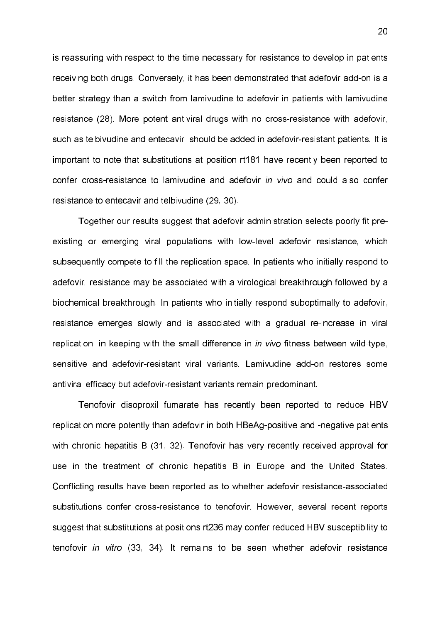is reassuring with respect to the time necessary for resistance to develop in patients receiving both drugs. Conversely, it has been demonstrated that adefovir add-on is a better strategy than a switch from lamivudine to adefovir in patients with lamivudine resistance (28). More potent antiviral drugs with no cross-resistance with adefovir, such as telbivudine and entecavir, should be added in adefovir-resistant patients. It is important to note that substitutions at position rt181 have recently been reported to confer cross-resistance to lamivudine and adefovir in vivo and could also confer resistance to entecavir and telbivudine (29, 30).

Together our results suggest that adefovir administration selects poorly fit pre existing or emerging viral populations with low-level adefovir resistance, which subsequently compete to fill the replication space. In patients who initially respond to adefovir, resistance may be associated with a virological breakthrough followed by a biochemical breakthrough. In patients who initially respond suboptimally to adefovir, resistance emerges slowly and is associated with a gradual re-increase in viral replication, in keeping with the small difference in in vivo fitness between wild-type, sensitive and adefovir-resistant viral variants. Lamivudine add-on restores some antiviral efficacy but adefovir-resistant variants remain predominant.

Tenofovir disoproxil fumarate has recently been reported to reduce HBV replication more potently than adefovir in both HBeAg-positive and -negative patients with chronic hepatitis B (31, 32). Tenofovir has very recently received approval for use in the treatment of chronic hepatitis B in Europe and the United States. Conflicting results have been reported as to whether adefovir resistance-associated substitutions confer cross-resistance to tenofovir. However, several recent reports suggest that substitutions at positions rt236 may confer reduced HBV susceptibility to tenofovir in vitro (33, 34). It remains to be seen whether adefovir resistance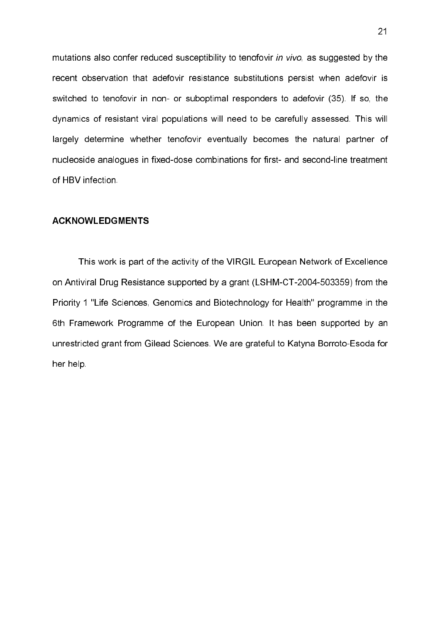mutations also confer reduced susceptibility to tenofovir in vivo, as suggested by the recent observation that adefovir resistance substitutions persist when adefovir is switched to tenofovir in non- or suboptimal responders to adefovir (35). If so, the dynamics of resistant viral populations will need to be carefully assessed. This will largely determine whether tenofovir eventually becomes the natural partner of nucleoside analogues in fixed-dose combinations for first- and second-line treatment of HBV infection.

## **ACKNOWLEDGMENTS**

This work is part of the activity of the VIRGIL European Network of Excellence on Antiviral Drug Resistance supported by a grant (LSHM-CT-2004-503359) from the Priority 1 "Life Sciences, Genomics and Biotechnology for Health" programme in the 6th Framework Programme of the European Union. It has been supported by an unrestricted grant from Gilead Sciences. We are grateful to Katyna Borroto-Esoda for her help.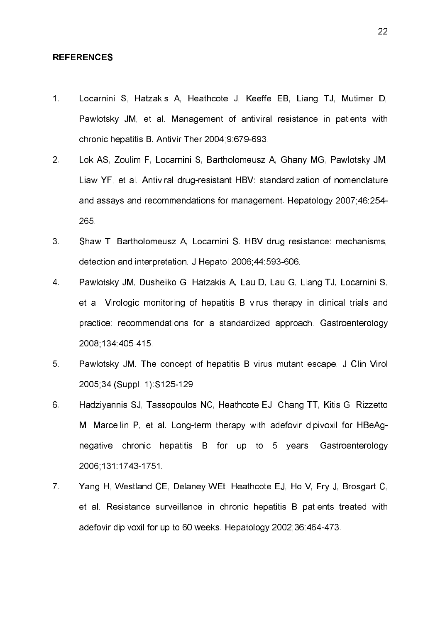## **REFERENCES**

- 1. Locarnini S, Hatzakis A, Heathcote J, Keeffe EB, Liang TJ, Mutimer D, Pawlotsky JM, et al. Management of antiviral resistance in patients with chronic hepatitis B. Antivir Ther 2004;9:679-693.
- 2. Lok AS, Zoulim F, Locarnini S, Bartholomeusz A, Ghany MG, Pawlotsky JM, Liaw YF, et al. Antiviral drug-resistant HBV: standardization of nomenclature and assays and recommendations for management. Hepatology 2007;46:254 265.
- 3. Shaw T, Bartholomeusz A, Locarnini S. HBV drug resistance: mechanisms, detection and interpretation. J Hepatol 2006;44:593-606.
- 4. Pawlotsky JM, Dusheiko G, Hatzakis A, Lau D, Lau G, Liang TJ, Locarnini S, et al. Virologic monitoring of hepatitis B virus therapy in clinical trials and practice: recommendations for a standardized approach. Gastroenterology 2008;134:405-415.
- 5. Pawlotsky JM. The concept of hepatitis B virus mutant escape. J Clin Virol 2005;34 (Suppl. 1):S125-129.
- 6. Hadziyannis SJ, Tassopoulos NC, Heathcote EJ, Chang TT, Kitis G, Rizzetto M, Marcellin P, et al. Long-term therapy with adefovir dipivoxil for HBeAgnegative chronic hepatitis B for up to 5 years. Gastroenterology 2006;131:17431751.
- 7. Yang H, Westland CE, Delaney WEt, Heathcote EJ, Ho V, Fry J, Brosgart C, et al. Resistance surveillance in chronic hepatitis B patients treated with adefovir dipivoxil for up to 60 weeks. Hepatology 2002;36:464-473.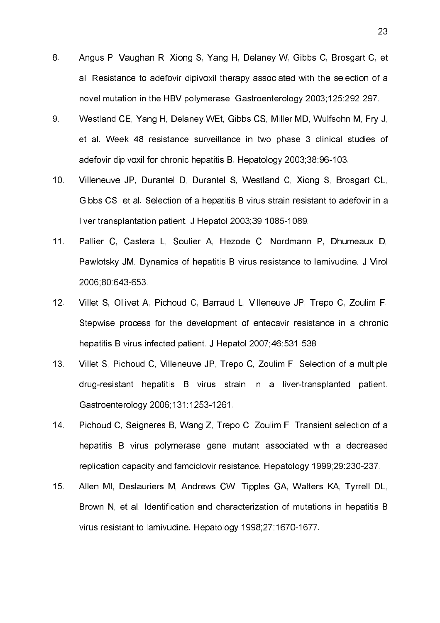- 8. Angus P, Vaughan R, Xiong S, Yang H, Delaney W, Gibbs C, Brosgart C, et al. Resistance to adefovir dipivoxil therapy associated with the selection of a novel mutation in the HBV polymerase. Gastroenterology 2003;125:292-297.
- 9. Westland CE, Yang H, Delaney WEt, Gibbs CS, Miller MD, Wulfsohn M, Fry J, et al. Week 48 resistance surveillance in two phase 3 clinical studies of adefovir dipivoxil for chronic hepatitis B. Hepatology 2003;38:96-103.
- 10. Villeneuve JP, Durantel D, Durantel S, Westland C, Xiong S, Brosgart CL, Gibbs CS, et al. Selection of a hepatitis B virus strain resistant to adefovir in a liver transplantation patient. J Hepatol 2003;39:1085-1089.
- 11. Pallier C, Castera L, Soulier A, Hezode C, Nordmann P, Dhumeaux D, Pawlotsky JM. Dynamics of hepatitis B virus resistance to lamivudine. J Virol 2006;80:643-653.
- 12. Villet S, Ollivet A, Pichoud C, Barraud L, Villeneuve JP, Trepo C, Zoulim F. Stepwise process for the development of entecavir resistance in a chronic hepatitis B virus infected patient. J Hepatol 2007;46:531-538.
- 13. Villet S, Pichoud C, Villeneuve JP, Trepo C, Zoulim F. Selection of a multiple drug-resistant hepatitis B virus strain in a liver-transplanted patient. Gastroenterology 2006;131:1253-1261.
- 14. Pichoud C, Seigneres B, Wang Z, Trepo C, Zoulim F. Transient selection of a hepatitis B virus polymerase gene mutant associated with a decreased replication capacity and famciclovir resistance. Hepatology 1999;29:230-237.
- 15. Allen MI, Deslauriers M, Andrews CW, Tipples GA, Walters KA, Tyrrell DL, Brown N, et al. Identification and characterization of mutations in hepatitis B virus resistant to lamivudine. Hepatology 1998;27:1670-1677.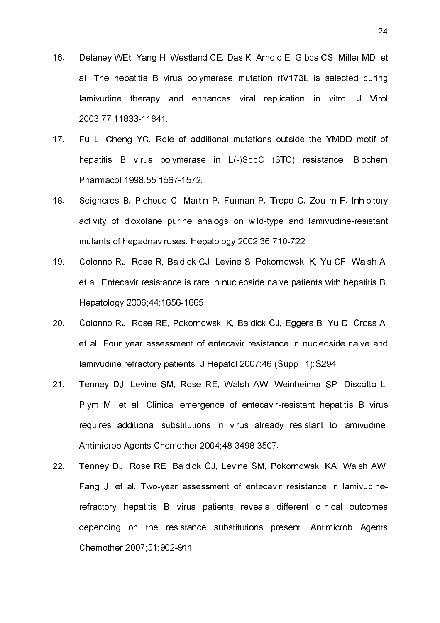- 16. Delaney WEt, Yang H, Westland CE, Das K, Arnold E, Gibbs CS, Miller MD, et al. The hepatitis B virus polymerase mutation rtV173L is selected during lamivudine therapy and enhances viral replication in vitro. J Virol 2003;77:1183311841.
- 17. Fu L, Cheng YC. Role of additional mutations outside the YMDD motif of hepatitis B virus polymerase in L(-)SddC (3TC) resistance. Biochem Pharmacol 1998;55:1567-1572.
- 18. Seigneres B, Pichoud C, Martin P, Furman P, Trepo C, Zoulim F. Inhibitory activity of dioxolane purine analogs on wild-type and lamivudine-resistant mutants of hepadnaviruses. Hepatology 2002;36:710-722.
- 19. Colonno RJ, Rose R, Baldick CJ, Levine S, Pokornowski K, Yu CF, Walsh A, et al. Entecavir resistance is rare in nucleoside naive patients with hepatitis B. Hepatology 2006 44:1656-1665.
- 20. Colonno RJ, Rose RE, Pokornowski K, Baldick CJ, Eggers B, Yu D, Cross A, et al. Four year assessment of entecavir resistance in nucleoside-naive and lamivudine refractory patients. J Hepatol 2007;46 (Suppl. 1):S294.
- 21. Tenney DJ, Levine SM, Rose RE, Walsh AW, Weinheimer SP, Discotto L, Plym M, et al. Clinical emergence of entecavir-resistant hepatitis B virus requires additional substitutions in virus already resistant to lamivudine. Antimicrob Agents Chemother 2004;48:3498-3507.
- 22. Tenney DJ, Rose RE, Baldick CJ, Levine SM, Pokornowski KA, Walsh AW, Fang J, et al. Two-year assessment of entecavir resistance in lamivudinerefractory hepatitis B virus patients reveals different clinical outcomes depending on the resistance substitutions present. Antimicrob Agents Chemother 2007;51:902-911.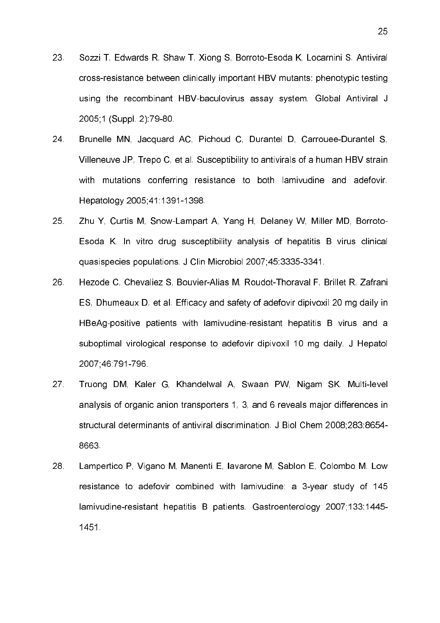- 23. Sozzi T, Edwards R, Shaw T, Xiong S, Borroto-Esoda K, Locarnini S. Antiviral crossresistance between clinically important HBV mutants: phenotypic testing using the recombinant HBV-baculovirus assay system. Global Antiviral J 2005;1 (Suppl. 2):79-80.
- 24. Brunelle MN, Jacquard AC, Pichoud C, Durantel D, Carrouee-Durantel S, Villeneuve JP, Trepo C, et al. Susceptibility to antivirals of a human HBV strain with mutations conferring resistance to both lamivudine and adefovir. Hepatology 2005;41:1391-1398.
- 25. Zhu Y, Curtis M, SnowLampart A, Yang H, Delaney W, Miller MD, Borroto Esoda K. In vitro drug susceptibility analysis of hepatitis B virus clinical quasispecies populations. J Clin Microbiol 2007;45:3335-3341.
- 26. Hezode C, Chevaliez S, Bouvier-Alias M, Roudot-Thoraval F, Brillet R, Zafrani ES, Dhumeaux D, et al. Efficacy and safety of adefovir dipivoxil 20 mg daily in HBeAg-positive patients with lamivudine-resistant hepatitis B virus and a suboptimal virological response to adefovir dipivoxil 10 mg daily. J Hepatol 2007 46 791 796.
- 27. Truong DM, Kaler G, Khandelwal A, Swaan PW, Nigam SK. Multi-level analysis of organic anion transporters 1, 3, and 6 reveals major differences in structural determinants of antiviral discrimination. J Biol Chem 2008;283:8654 8663.
- 28. Lampertico P, Vigano M, Manenti E, Iavarone M, Sablon E, Colombo M. Low resistance to adefovir combined with lamivudine: a 3-year study of 145 lamivudine-resistant hepatitis B patients. Gastroenterology 2007;133:1445-1451.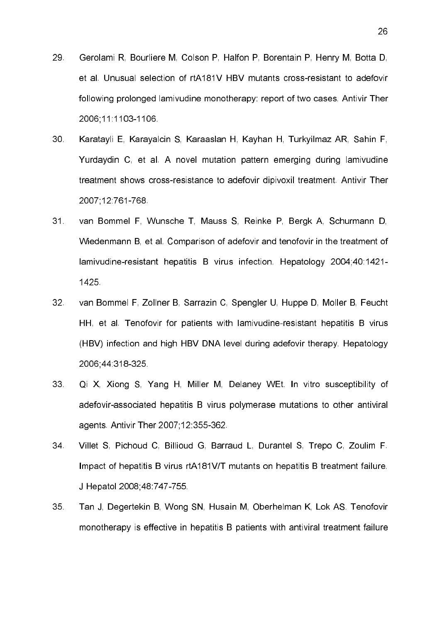- 29. Gerolami R, Bourliere M, Colson P, Halfon P, Borentain P, Henry M, Botta D, et al. Unusual selection of rtA181V HBV mutants cross-resistant to adefovir following prolonged lamivudine monotherapy: report of two cases. Antivir Ther 2006;11:1103-1106.
- 30. Karatayli E, Karayalcin S, Karaaslan H, Kayhan H, Turkyilmaz AR, Sahin F, Yurdaydin C, et al. A novel mutation pattern emerging during lamivudine treatment shows cross-resistance to adefovir dipivoxil treatment. Antivir Ther 2007;12:761768.
- 31. van Bommel F, Wunsche T, Mauss S, Reinke P, Bergk A, Schurmann D, Wiedenmann B, et al. Comparison of adefovir and tenofovir in the treatment of lamivudine-resistant hepatitis B virus infection. Hepatology 2004;40:1421-1425.
- 32. van Bommel F, Zollner B, Sarrazin C, Spengler U, Huppe D, Moller B, Feucht HH, et al. Tenofovir for patients with lamivudine-resistant hepatitis B virus (HBV) infection and high HBV DNA level during adefovir therapy. Hepatology 2006 44:318-325
- 33. Qi X, Xiong S, Yang H, Miller M, Delaney WEt. In vitro susceptibility of adefovir-associated hepatitis B virus polymerase mutations to other antiviral agents. Antivir Ther 2007;12:355-362.
- 34. Villet S, Pichoud C, Billioud G, Barraud L, Durantel S, Trepo C, Zoulim F. Impact of hepatitis B virus rtA181V/T mutants on hepatitis B treatment failure. J Hepatol 2008; 48:747-755.
- 35. Tan J, Degertekin B, Wong SN, Husain M, Oberhelman K, Lok AS. Tenofovir monotherapy is effective in hepatitis B patients with antiviral treatment failure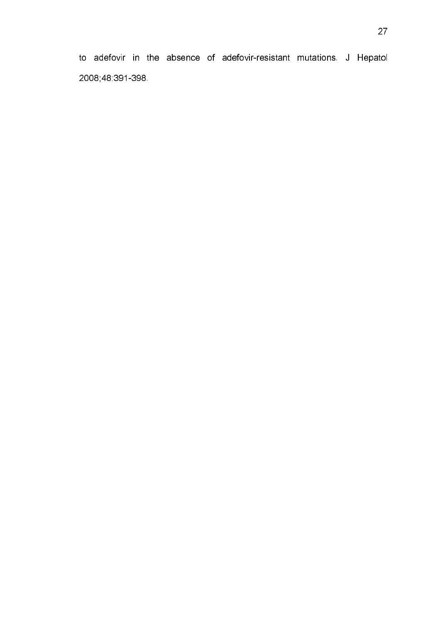to adefovir in the absence of adefovir-resistant mutations. J Hepatol 2008;48:391-398.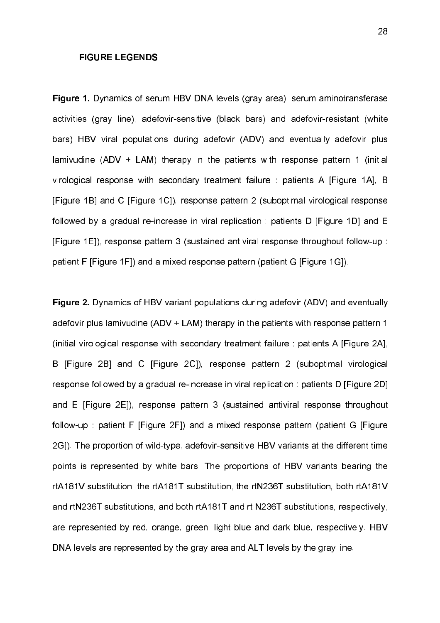# FIGURE LEGENDS

Figure 1. Dynamics of serum HBV DNA levels (gray area), serum aminotransferase activities (gray line), adefovir-sensitive (black bars) and adefovir-resistant (white bars) HBV viral populations during adefovir (ADV) and eventually adefovir plus lamivudine (ADV + LAM) therapy in the patients with response pattern 1 (initial virological response with secondary treatment failure : patients A [Figure 1A], B [Figure 1B] and C [Figure 1C]), response pattern 2 (suboptimal virological response followed by a gradual re-increase in viral replication : patients D [Figure 1D] and E [Figure 1E]), response pattern 3 (sustained antiviral response throughout followup : patient F [Figure 1F]) and a mixed response pattern (patient G [Figure 1G]).

Figure 2. Dynamics of HBV variant populations during adefovir (ADV) and eventually adefovir plus lamivudine (ADV + LAM) therapy in the patients with response pattern 1 (initial virological response with secondary treatment failure : patients A [Figure 2A], B [Figure 2B] and C [Figure 2C]), response pattern 2 (suboptimal virological response followed by a gradual re-increase in viral replication : patients D [Figure 2D] and E [Figure 2E]), response pattern 3 (sustained antiviral response throughout follow-up : patient F [Figure 2F]) and a mixed response pattern (patient G [Figure 2G]). The proportion of wild-type, adefovir-sensitive HBV variants at the different time points is represented by white bars. The proportions of HBV variants bearing the rtA181V substitution, the rtA181T substitution, the rtN236T substitution, both rtA181V and rtN236T substitutions, and both rtA181T and rt N236T substitutions, respectively, are represented by red, orange, green, light blue and dark blue, respectively. HBV DNA levels are represented by the gray area and ALT levels by the gray line.